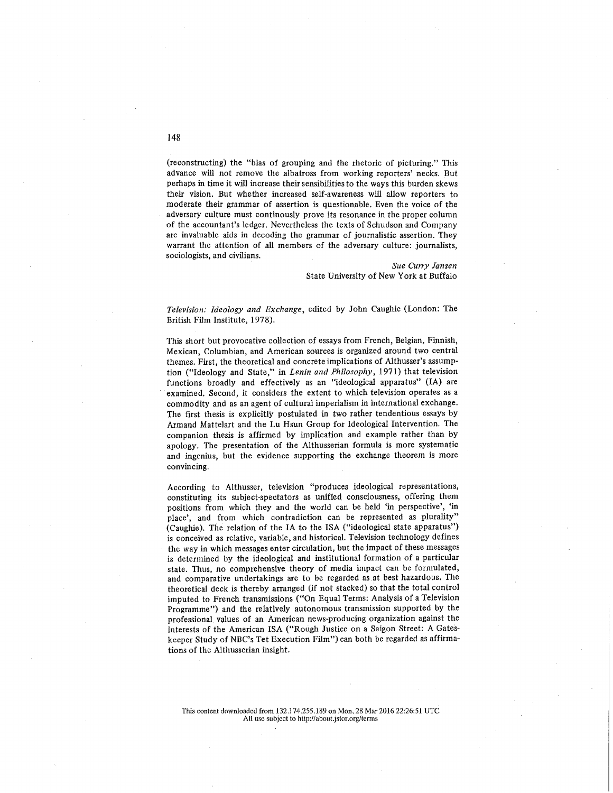(reconstructing) the "bias of grouping and the rhetoric of picturing." This advance will not remove the albatross from working reporters' necks. But perhaps in time it will increase their sensibilities to the ways this burden skews their vision. But whether increased self-awareness will allow reporters to moderate their grammar of assertion is questionable. Even the voice of the adversary culture must continously prove its resonance in the proper column of the accountant's ledger. Nevertheless the texts of Schudson and Company are invaluable aids in decoding the grammar of journalistic assertion. They warrant the attention of all members of the adversary culture: journalists, sociologists, and civilians.

> *Sue Curry Jansen* State University of New York at Buffalo

*Television: Ideology and Exchange,* edited by John Caughie (London: The British Film Institute, 1978).

This short but provocative collection of essays from French, Belgian, Finnish, Mexican, Columbian, and American sources is organized around two central themes. First, the theoretical and concrete implications of Althusser's assumption ("Ideology and State," in *Lenin and Philosophy,* 1971) that television functions broadly and effectively as an "ideological apparatus" (IA) are examined. Second, it considers the extent to which television operates as a commodity and as an agent of cultural imperialism in international exchange. The first thesis is explicitly postulated in two rather tendentious essays by Armand Mattelart and the Lu Hsun Group for Ideological Intervention. The companion thesis is affirmed by implication and example rather than by apology. The presentation of the Althusserian formula is more systematic and ingenius, but the evidence supporting the exchange theorem is more convincing.

According to Althusser, television "produces ideological representations, constituting its subject-spectators as unified consciousness, offering them positions from which they and the world can be held 'in perspective', 'in place', and from which contradiction can be represented as plurality" (Caughie). The relation of the IA to the ISA ("ideological state apparatus") is conceived as relative, variable, and historical. Television technology defines the way in which messages enter circulation, but the impact of these messages is determined by the ideological and institutional formation of a particular state. Thus, no comprehensive theory of media impact can be formulated, and comparative undertakings are to be regarded as at best hazardous. The theoretical deck is thereby arranged (if not stacked) so that the total control imputed to French transmissions ("On Equal Terms: Analysis of a Television Programme") and the relatively autonomous transmission supported by the professional values of an American news-producing organization against the interests of the American ISA ("Rough Justice on a Saigon Street; A Gateskeeper Study of NBC's Tet Execution Film") can both be regarded as affirmations of the Althusserian insight.

This content downloaded from 132.174.255.189 on Mon, 28 Mar 2016 22:26:51 UTC All use subject to http://about.jstor.org/terms

148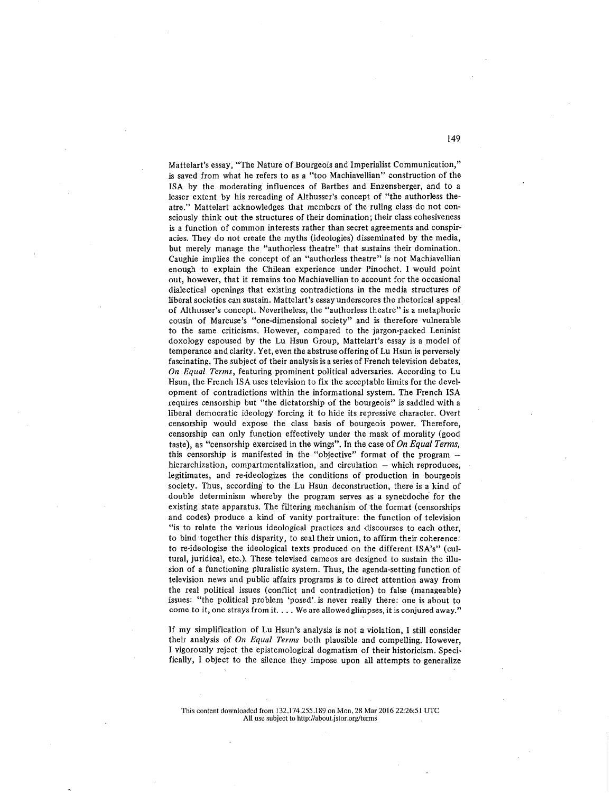Mattelart's essay, "The Nature of Bourgeois and Imperialist Communication," is saved from what he refers to as a "too Machiavellian" construction of the ISA by the moderating influences of Barthes and Enzensberger, and to a lesser extent by his rereading of Althusser's concept of "the authorless theatre." Mattelart acknowledges that members of the ruling class do not consciously think out the structures of their domination; their class cohesiveness is a function of common interests rather than secret agreements and conspiracies. They do not create the myths (ideologies) disseminated by the media, but merely manage the "authorless theatre" that sustains their domination. Caughie implies the concept of an "authorless theatre" is not Machiavellian enough to explain the Chilean experience under Pinochet. I would point out, however, that it remains too Machiavellian to account for the occasional dialectical openings that existing contradictions in the media structures of liberal societies can sustain. Mattelart's essay underscores the rhetorical appeal of Mthusser's concept. Nevertheless, the "authorless theatre" is a metaphoric cousin of Marcuse's "one-dimensional society" and is therefore vulnerable to the same criticisms. However, compared to the jargon-packed Leninist doxology espoused by the Lu Hsun Group, Mattelart's essay is a model of temperance and clarity. Yet, even the abstruse offering of Lu Hsun is perversely fascinating. The subject of their analysis is a series of French television debates, *On Equal Terms,* featuring prominent political adversaries. According to Lu Hsun, the French ISA uses television to fix the acceptable limits for the development of contradictions within the informational system. The French ISA requires censorship but "the dictatorship of the bourgeois" is saddled with a liberal democratic ideology forcing it to hide its repressive character. Overt censorship would expose the class basis of bourgeois power. Therefore, censorship can only function effectively under the mask of morality (good taste), as "censorship exercised in the wings". In the case of *On Equal Terms,* this censorship is manifested in the "objective" format of the program hierarchization, compartmentalization, and circulation — which reproduces, legitimates, and re-ideologizes the conditions of production in bourgeois society. Thus, according to the Lu Hsun deconstruction, there is a kind of double determinism whereby the program serves as a synecdoche for the existing state apparatus. The filtering mechanism of the format (censorships and codes) produce a kind of vanity portraiture: the function of television "is to relate the various ideological practices and discourses to each other, to bind together this disparity, to seal their union, to affirm their coherence: to re-ideologise the ideological texts produced on the different ISA's" (cultural, juridical, etc.). These televised cameos are designed to sustain the illusion of a functioning pluralistic system. Thus, the agenda-setting function of television news and public affairs programs is to direct attention away from the real political issues (conflict and contradiction) to false (manageable) issues: "the political problem 'posed' is never really there: one is about to come to it, one strays from it.  $\dots$  We are allowed glimpses, it is conjured away."

If my simplification of Lu Hsun's analysis is not a violation, I still consider their analysis of *On Equal Terms* both plausible and compelling. However, I vigorously reject the epistemological dogmatism of their historicism. Specifically, I object to the silence they impose upon all attempts to generalize

This content downloaded from 132,174.255.189 on Mon, 28 Mar 2016 22:26:51 UTC All use subject to http://about.jstor.org/terms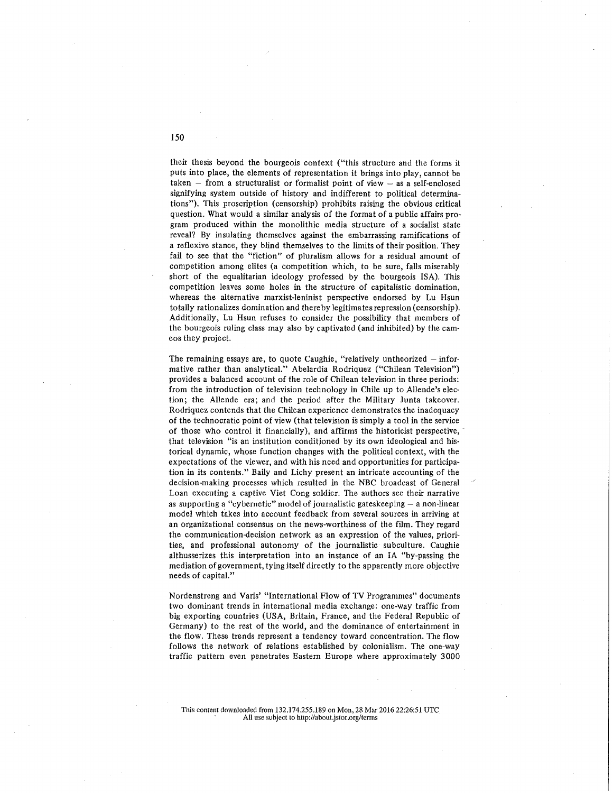their thesis beyond the bourgeois context ("this structure and the forms it puts into place, the elements of representation it brings into play, cannot be taken  $-$  from a structuralist or formalist point of view  $-$  as a self-enclosed signifying system outside of history and indifferent to political determinations"). This proscription (censorship) prohibits raising the obvious critical question. What would a similar analysis of the format of a public affairs program produced within the monolithic media structure of a socialist state reveal? By insulating themselves against the embarrassing ramifications of a reflexive stance, they blind themselves to the limits of their position. They fail to see that the "fiction" of pluralism allows for a residual amount of competition among elites (a competition which, to be sure, falls miserably short of the equalitarian ideology professed by the bourgeois ISA), This competition leaves some holes in the structure of capitalistic domination, whereas the alternative marxist-leninist perspective endorsed by Lu Hsun totally rationalizes domination and thereby legitimates repression (censorship). Additionally, Lu Hsun refuses to consider the possibility that members of the bourgeois ruling class may also by captivated (and inhibited) by the cameos they project.

The remaining essays are, to quote Caughie, "relatively untheorized — informative rather than analytical." Abelardia Rodriquez ("Chilean Television") provides a balanced account of the role of Chilean television in three periods: from the introduction of television technology in Chile up to Allende's election; the Allende era; and the period after the Military Junta takeover. Rodriquez contends that the Chilean experience demonstrates the inadequacy of the technocratic point of view (that television is simply a tool in the service of those who control it financially), and affirms the historicist perspective, that television "is an institution conditioned by its own ideological and historical dynamic, whose function changes with the political context, with the expectations of the viewer, and with his need and opportunities for participation in its contents." Bally and Lichy present an intricate accounting of the decision-making processes which resulted in the NBC broadcast of General Loan executing a captive Viet Cong soldier. The authors see their narrative as supporting a "cybernetic" model of journalistic gateskeeping — a non-linear model which takes into account feedback from several sources in arriving at an organizational consensus on the news-worthiness of the film. They regard the communication-decision network as an expression of the values, priorities, and professional autonomy of the journalistic subculture. Caughie althusserizes this interpretation into an instance of an IA "by-passing the mediation of government, tying itself directly to the apparently more objective needs of capital."

Nordenstreng and Vans' "International Flow of TV Programmes" documents two dominant trends in international media exchange: one-way traffic from big exporting countries (USA, Britain, France, and the Federal Republic of Germany) to the rest of the world, and the dominance of entertainment in the flow. These trends represent a tendency toward concentration. The flow follows the network of relations established by colonialism. The one-way traffic pattern even penetrates Eastern Europe where approximately 3000

This content downloaded from 132.174.255.189 on Mon, 28 Mar 2016 22:26:51 UTC All use subject to http://about,jstor.org/terms

150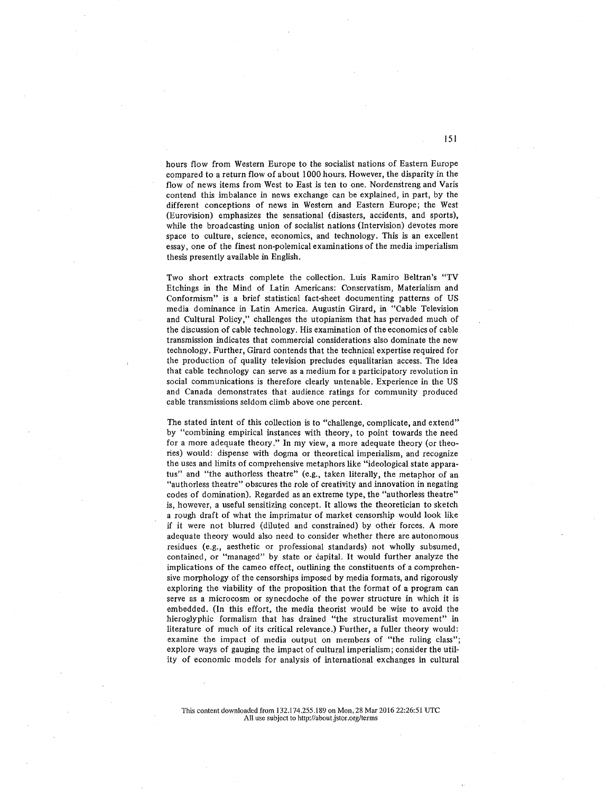hours flow from Western Europe to the socialist nations of Eastern Europe compared to a return flow of about 1000 hours. However, the disparity in the flow of news items from West to East is ten to one. Nordenstreng and Vans contend this imbalance in news exchange can be explained, in part, by the different conceptions of news in Western and Eastern Europe; the West (Eurovision) emphasizes the sensational (disasters, accidents, and sports), while the broadcasting union of socialist nations (Intervision) devotes more space to culture, science, economics, and technology. This is an excellent essay, one of the finest non-polemical examinations of the media imperialism thesis presently available in English.

Two short extracts complete the collection. Luis Ramiro Beltran's "TV Etchings in the Mind of Latin Americans: Conservatism, Materialism and Conformism" is a brief statistical fact-sheet documenting patterns of US media dominance in Latin America. Augustin Girard, in "Cable Television and Cultural Policy," challenges the utopianism that has pervaded much of the discussion of cable technology. His examination of the economics of cable transmission indicates that commercial considerations also dominate the new technology. Further, Girard contends that the technical expertise required for the production of quality television precludes equalitarian access. The idea that cable technology can serve as a medium for a participatory revolution in social communications is therefore clearly untenable. Experience in the US and Canada demonstrates that audience ratings for community produced cable transmissions seldom climb above one percent.

The stated intent of this collection is to "challenge, complicate, and extend" by "combining empirical instances with theory, to point towards the need for a more adequate theory." In my view, a more adequate theory (or theories) would: dispense with dogma or theoretical imperialism, and recognize the uses and limits of comprehensive metaphors like "ideological state apparatus" and "the authorless theatre" (e.g., taken literally, the metaphor of an "authorless theatre" obscures the role of creativity and innovation in negating codes of domination). Regarded as an extreme type, the "authorless theatre" is, however, a useful sensitizing concept. It allows the theoretician to sketch a rough draft of what the imprimatur of market censorship would look like if it were not blurred (diluted and constrained) by other forces. A more adequate theory would also need to consider whether there are autonomous residues (e.g., aesthetic or professional standards) not wholly subsumed, contained, or "managed" by state or capital. It would further analyze the implications of the cameo effect, outlining the constituents of a comprehensive morphology of the censorships imposed by media formats, and rigorously exploring the viability of the proposition that the format of a program can serve as a microcosm or synecdoche of the power structure in which it is embedded. (In this effort, the media theorist would be wise to avoid the hieroglyphic formalism that has drained "the structuralist movement" in literature of much of its critical relevance.) Further, a fuller theory would: examine the impact of media output on members of "the ruling class"; explore ways of gauging the impact of cultural imperialism; consider the utility of economic models for analysis of international exchanges in cultural

This content downloaded from 132.174\_255.189 on Mon, 28 Mar 2016 22:26:51 UTC All use subject to http://about.jstor.org/terms